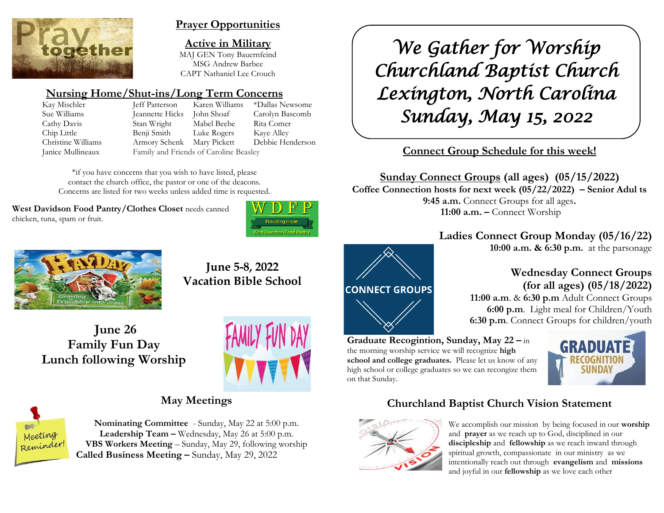

### **Prayer Opportunities**

**Active in Military** MAJ GEN Tony Bauernfeind MSG Andrew Barbee CAPT Nathaniel Lee Crouch

# **Nursing Home/Shut-ins/Long Term Concerns**

Sue Williams Jeannette Hicks John Shoaf Carolyn Bascomb Cathy Davis Stan Wright Mabel Beebe Rita Comer Chip Little Benji Smith Luke Rogers Kaye Alley Christine Williams Armory Schenk Mary Pickett Debbie Henderson Janice Mullineaux Family and Friends of Caroline Beasley

Kay Mischler Jeff Patterson Karen Williams \*Dallas Newsome

\*if you have concerns that you wish to have listed, please contact the church office, the pastor or one of the deacons. Concerns are listed for two weeks unless added time is requested.

**West Davidson Food Pantry/Clothes Closet** needs canned chicken, tuna, spam or fruit.





**June 5-8, 2022 Vacation Bible School**



**June 26 Family Fun Day Lunch following Worship**



# **May Meetings**



**Nominating Committee** - Sunday, May 22 at 5:00 p.m. **Leadership Team –** Wednesday, May 26 at 5:00 p.m. **VBS Workers Meeting** – Sunday, May 29, following worship **Called Business Meeting –** Sunday, May 29, 2022

*We Gather for Worship Churchland Baptist Church Lexington, North Carolina Sunday, May 15, 2022* 

# **Connect Group Schedule for this week!**

**Sunday Connect Groups (all ages) (05/15/2022)**

**Coffee Connection hosts for next week (05/22/2022) – Senior Adul ts 9:45 a.m.** Connect Groups for all ages**. 11:00 a.m. –** Connect Worship

# **Ladies Connect Group Monday (05/16/22)**

**10:00 a.m. & 6:30 p.m.** at the parsonage

# **Wednesday Connect Groups (for all ages) (05/18/2022)**



 **11:00 a.m**. & **6:30 p.m** Adult Connect Groups  **6:00 p.m**. Light meal for Children/Youth **6:30 p.m**. Connect Groups for children/youth

**Graduate Recogintion, Sunday, May 22 –** in the morning worship service we will recognize **high school and college graduates.** Please let us know of any high school or college graduates so we can recongize them on that Sunday.



# **Churchland Baptist Church Vision Statement**



We accomplish our mission by being focused in our **worship** and **prayer** as we reach up to God, disciplined in our **discipleship** and **fellowship** as we reach inward through spiritual growth, compassionate in our ministry as we intentionally reach out through **evangelism** and **missions** and joyful in our **fellowship** as we love each other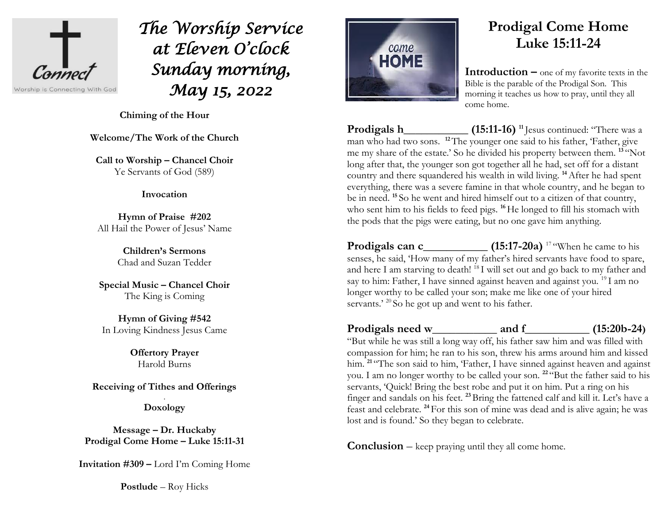

*The Worship Service at Eleven O'clock Sunday morning, May 15, 2022* 

**Chiming of the Hour**

**Welcome/The Work of the Church**

**Call to Worship – Chancel Choir** Ye Servants of God (589)

#### **Invocation**

**Hymn of Praise #202**  All Hail the Power of Jesus' Name

> **Children's Sermons** Chad and Suzan Tedder

**Special Music – Chancel Choir** The King is Coming

**Hymn of Giving #542** In Loving Kindness Jesus Came

> **Offertory Prayer**  Harold Burns

**Receiving of Tithes and Offerings**

. **Doxology**

**Message – Dr. Huckaby Prodigal Come Home – Luke 15:11-31**

**Invitation #309 –** Lord I'm Coming Home

**Postlude** – Roy Hicks



# **Prodigal Come Home Luke 15:11-24**

**Introduction –** one of my favorite texts in the Bible is the parable of the Prodigal Son. This morning it teaches us how to pray, until they all come home.

**Prodigals h\_\_\_\_\_\_\_\_\_\_\_ (15:11-16) <sup>11</sup>** Jesus continued: "There was a man who had two sons. <sup>12</sup>The younger one said to his father, 'Father, give me my share of the estate.' So he divided his property between them. **<sup>13</sup>** "Not long after that, the younger son got together all he had, set off for a distant country and there squandered his wealth in wild living. **<sup>14</sup>**After he had spent everything, there was a severe famine in that whole country, and he began to be in need. **<sup>15</sup>** So he went and hired himself out to a citizen of that country, who sent him to his fields to feed pigs. <sup>16</sup>He longed to fill his stomach with the pods that the pigs were eating, but no one gave him anything.

**Prodigals can c\_\_\_\_\_\_\_\_\_\_\_ (15:17-20a)** <sup>17</sup> "When he came to his senses, he said, 'How many of my father's hired servants have food to spare, and here I am starving to death! <sup>18</sup> I will set out and go back to my father and say to him: Father, I have sinned against heaven and against you. <sup>19</sup> I am no longer worthy to be called your son; make me like one of your hired servants.' <sup>20</sup> So he got up and went to his father.

**Prodigals need w\_\_\_\_\_\_\_\_\_\_\_ and f\_\_\_\_\_\_\_\_\_\_\_ (15:20b-24)** 

"But while he was still a long way off, his father saw him and was filled with compassion for him; he ran to his son, threw his arms around him and kissed him. <sup>21</sup> "The son said to him, 'Father, I have sinned against heaven and against you. I am no longer worthy to be called your son. **<sup>22</sup>** "But the father said to his servants, 'Quick! Bring the best robe and put it on him. Put a ring on his finger and sandals on his feet. **<sup>23</sup>**Bring the fattened calf and kill it. Let's have a feast and celebrate. **<sup>24</sup>** For this son of mine was dead and is alive again; he was lost and is found.' So they began to celebrate.

**Conclusion** – keep praying until they all come home.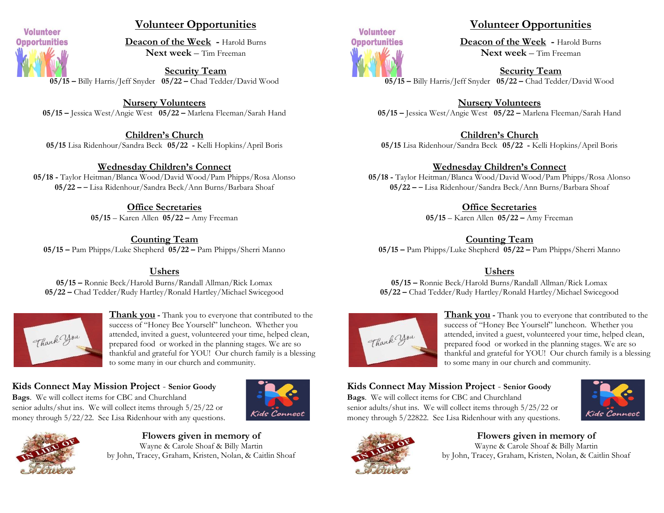

#### **Volunteer Opportunities**

**Deacon of the Week -** Harold Burns **Next week** – Tim Freeman

**Security Team 05/15 –** Billy Harris/Jeff Snyder **05/22 –** Chad Tedder/David Wood

**Nursery Volunteers 05/15 –** Jessica West/Angie West **05/22 –** Marlena Fleeman/Sarah Hand

**Children's Church 05/15** Lisa Ridenhour/Sandra Beck **05/22 -** Kelli Hopkins/April Boris

#### **Wednesday Children's Connect**

**05/18 -** Taylor Heitman/Blanca Wood/David Wood/Pam Phipps/Rosa Alonso **05/22 –** – Lisa Ridenhour/Sandra Beck/Ann Burns/Barbara Shoaf

**Office Secretaries**

**05/15** – Karen Allen **05/22 –** Amy Freeman

**Counting Team 05/15 –** Pam Phipps/Luke Shepherd **05/22 –** Pam Phipps/Sherri Manno

**Ushers**

**05/15 –** Ronnie Beck/Harold Burns/Randall Allman/Rick Lomax **05/22 –** Chad Tedder/Rudy Hartley/Ronald Hartley/Michael Swicegood



**Thank you -** Thank you to everyone that contributed to the success of "Honey Bee Yourself" luncheon. Whether you attended, invited a guest, volunteered your time, helped clean, prepared food or worked in the planning stages. We are so thankful and grateful for YOU! Our church family is a blessing to some many in our church and community.

# **Kids Connect May Mission Project** - **Senior Goody**

**Bags**. We will collect items for CBC and Churchland senior adults/shut ins. We will collect items through 5/25/22 or money through 5/22/22. See Lisa Ridenhour with any questions.





**Flowers given in memory of** Wayne & Carole Shoaf & Billy Martin by John, Tracey, Graham, Kristen, Nolan, & Caitlin Shoaf



### **Volunteer Opportunities**

**Deacon of the Week -** Harold Burns **Next week** – Tim Freeman

**Security Team 05/15 –** Billy Harris/Jeff Snyder **05/22 –** Chad Tedder/David Wood

**Nursery Volunteers 05/15 –** Jessica West/Angie West **05/22 –** Marlena Fleeman/Sarah Hand

**Children's Church**

**05/15** Lisa Ridenhour/Sandra Beck **05/22 -** Kelli Hopkins/April Boris

#### **Wednesday Children's Connect**

**05/18 -** Taylor Heitman/Blanca Wood/David Wood/Pam Phipps/Rosa Alonso **05/22 –** – Lisa Ridenhour/Sandra Beck/Ann Burns/Barbara Shoaf

#### **Office Secretaries**

**05/15** – Karen Allen **05/22 –** Amy Freeman

#### **Counting Team**

**05/15 –** Pam Phipps/Luke Shepherd **05/22 –** Pam Phipps/Sherri Manno

#### **Ushers**

**05/15 –** Ronnie Beck/Harold Burns/Randall Allman/Rick Lomax **05/22 –** Chad Tedder/Rudy Hartley/Ronald Hartley/Michael Swicegood



**Thank you -** Thank you to everyone that contributed to the success of "Honey Bee Yourself" luncheon. Whether you attended, invited a guest, volunteered your time, helped clean, prepared food or worked in the planning stages. We are so thankful and grateful for YOU! Our church family is a blessing to some many in our church and community.

# **Kids Connect May Mission Project** - **Senior Goody**

**Bags**. We will collect items for CBC and Churchland senior adults/shut ins. We will collect items through 5/25/22 or money through 5/22822. See Lisa Ridenhour with any questions.





#### **Flowers given in memory of** Wayne & Carole Shoaf & Billy Martin by John, Tracey, Graham, Kristen, Nolan, & Caitlin Shoaf